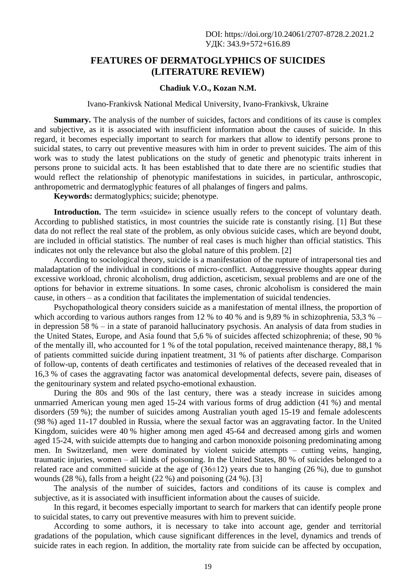## **FEATURES OF DERMATOGLYPHICS OF SUICIDES (LITERATURE REVIEW)**

#### **Chadiuk V.O., Kozan N.M.**

#### Ivano-Frankivsk National Medical University, Ivano-Frankivsk, Ukraine

**Summary.** The analysis of the number of suicides, factors and conditions of its cause is complex and subjective, as it is associated with insufficient information about the causes of suicide. In this regard, it becomes especially important to search for markers that allow to identify persons prone to suicidal states, to carry out preventive measures with him in order to prevent suicides. The aim of this work was to study the latest publications on the study of genetic and phenotypic traits inherent in persons prone to suicidal acts. It has been established that to date there are no scientific studies that would reflect the relationship of phenotypic manifestations in suicides, in particular, anthroscopic, anthropometric and dermatoglyphic features of all phalanges of fingers and palms.

**Keywords:** dermatoglyphics; suicide; phenotype.

Introduction. The term «suicide» in science usually refers to the concept of voluntary death. According to published statistics, in most countries the suicide rate is constantly rising. [1] But these data do not reflect the real state of the problem, as only obvious suicide cases, which are beyond doubt, are included in official statistics. The number of real cases is much higher than official statistics. This indicates not only the relevance but also the global nature of this problem. [2]

According to sociological theory, suicide is a manifestation of the rupture of intrapersonal ties and maladaptation of the individual in conditions of micro-conflict. Autoaggressive thoughts appear during excessive workload, chronic alcoholism, drug addiction, asceticism, sexual problems and are one of the options for behavior in extreme situations. In some cases, chronic alcoholism is considered the main cause, in others – as a condition that facilitates the implementation of suicidal tendencies.

Psychopathological theory considers suicide as a manifestation of mental illness, the proportion of which according to various authors ranges from 12 % to 40 % and is 9.89 % in schizophrenia, 53,3 % – in depression 58 % – in a state of paranoid hallucinatory psychosis. An analysis of data from studies in the United States, Europe, and Asia found that 5,6 % of suicides affected schizophrenia; of these, 90 % of the mentally ill, who accounted for 1 % of the total population, received maintenance therapy, 88,1 % of patients committed suicide during inpatient treatment, 31 % of patients after discharge. Comparison of follow-up, contents of death certificates and testimonies of relatives of the deceased revealed that in 16,3 % of cases the aggravating factor was anatomical developmental defects, severe pain, diseases of the genitourinary system and related psycho-emotional exhaustion.

During the 80s and 90s of the last century, there was a steady increase in suicides among unmarried American young men aged 15-24 with various forms of drug addiction (41 %) and mental disorders (59 %); the number of suicides among Australian youth aged 15-19 and female adolescents (98 %) aged 11-17 doubled in Russia, where the sexual factor was an aggravating factor. In the United Kingdom, suicides were 40 % higher among men aged 45-64 and decreased among girls and women aged 15-24, with suicide attempts due to hanging and carbon monoxide poisoning predominating among men. In Switzerland, men were dominated by violent suicide attempts – cutting veins, hanging, traumatic injuries, women – all kinds of poisoning. In the United States, 80 % of suicides belonged to a related race and committed suicide at the age of  $(36\pm12)$  years due to hanging  $(26\%)$ , due to gunshot wounds (28 %), falls from a height (22 %) and poisoning (24 %). [3]

The analysis of the number of suicides, factors and conditions of its cause is complex and subjective, as it is associated with insufficient information about the causes of suicide.

In this regard, it becomes especially important to search for markers that can identify people prone to suicidal states, to carry out preventive measures with him to prevent suicide.

According to some authors, it is necessary to take into account age, gender and territorial gradations of the population, which cause significant differences in the level, dynamics and trends of suicide rates in each region. In addition, the mortality rate from suicide can be affected by occupation,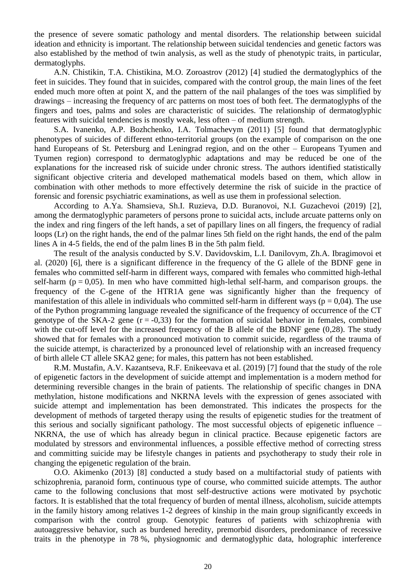the presence of severe somatic pathology and mental disorders. The relationship between suicidal ideation and ethnicity is important. The relationship between suicidal tendencies and genetic factors was also established by the method of twin analysis, as well as the study of phenotypic traits, in particular, dermatoglyphs.

A.N. Chistikin, T.A. Chistikina, M.O. Zoroastrov (2012) [4] studied the dermatoglyphics of the feet in suicides. They found that in suicides, compared with the control group, the main lines of the feet ended much more often at point X, and the pattern of the nail phalanges of the toes was simplified by drawings – increasing the frequency of arc patterns on most toes of both feet. The dermatoglyphs of the fingers and toes, palms and soles are characteristic of suicides. The relationship of dermatoglyphic features with suicidal tendencies is mostly weak, less often – of medium strength.

S.A. Ivanenko, A.P. Bozhchenko, I.A. Tolmachevym (2011) [5] found that dermatoglyphic phenotypes of suicides of different ethno-territorial groups (on the example of comparison on the one hand Europeans of St. Petersburg and Leningrad region, and on the other – Europeans Tyumen and Tyumen region) correspond to dermatoglyphic adaptations and may be reduced be one of the explanations for the increased risk of suicide under chronic stress. The authors identified statistically significant objective criteria and developed mathematical models based on them, which allow in combination with other methods to more effectively determine the risk of suicide in the practice of forensic and forensic psychiatric examinations, as well as use them in professional selection.

According to A.Ya. Shamsieva, Sh.I. Ruzieva, D.D. Buranovoi, N.I. Guzachevoi (2019) [2], among the dermatoglyphic parameters of persons prone to suicidal acts, include arcuate patterns only on the index and ring fingers of the left hands, a set of papillary lines on all fingers, the frequency of radial loops (Lr) on the right hands, the end of the palmar lines 5th field on the right hands, the end of the palm lines A in 4-5 fields, the end of the palm lines B in the 5th palm field.

The result of the analysis conducted by S.V. Davidovskim, L.I. Danilovym, Zh.A. Ibragimovoi et al. (2020) [6], there is a significant difference in the frequency of the G allele of the BDNF gene in females who committed self-harm in different ways, compared with females who committed high-lethal self-harm ( $p = 0.05$ ). In men who have committed high-lethal self-harm, and comparison groups, the frequency of the C-gene of the HTR1A gene was significantly higher than the frequency of manifestation of this allele in individuals who committed self-harm in different ways ( $p = 0.04$ ). The use of the Python programming language revealed the significance of the frequency of occurrence of the CT genotype of the SKA-2 gene  $(r = -0.33)$  for the formation of suicidal behavior in females, combined with the cut-off level for the increased frequency of the B allele of the BDNF gene (0,28). The study showed that for females with a pronounced motivation to commit suicide, regardless of the trauma of the suicide attempt, is characterized by a pronounced level of relationship with an increased frequency of birth allele CT allele SKA2 gene; for males, this pattern has not been established.

R.M. Mustafin, A.V. Kazantseva, R.F. Enikeevava et al. (2019) [7] found that the study of the role of epigenetic factors in the development of suicide attempt and implementation is a modern method for determining reversible changes in the brain of patients. The relationship of specific changes in DNA methylation, histone modifications and NKRNA levels with the expression of genes associated with suicide attempt and implementation has been demonstrated. This indicates the prospects for the development of methods of targeted therapy using the results of epigenetic studies for the treatment of this serious and socially significant pathology. The most successful objects of epigenetic influence – NKRNA, the use of which has already begun in clinical practice. Because epigenetic factors are modulated by stressors and environmental influences, a possible effective method of correcting stress and committing suicide may be lifestyle changes in patients and psychotherapy to study their role in changing the epigenetic regulation of the brain.

O.O. Akimenko (2013) [8] conducted a study based on a multifactorial study of patients with schizophrenia, paranoid form, continuous type of course, who committed suicide attempts. The author came to the following conclusions that most self-destructive actions were motivated by psychotic factors. It is established that the total frequency of burden of mental illness, alcoholism, suicide attempts in the family history among relatives 1-2 degrees of kinship in the main group significantly exceeds in comparison with the control group. Genotypic features of patients with schizophrenia with autoaggressive behavior, such as burdened heredity, premorbid disorders, predominance of recessive traits in the phenotype in 78 %, physiognomic and dermatoglyphic data, holographic interference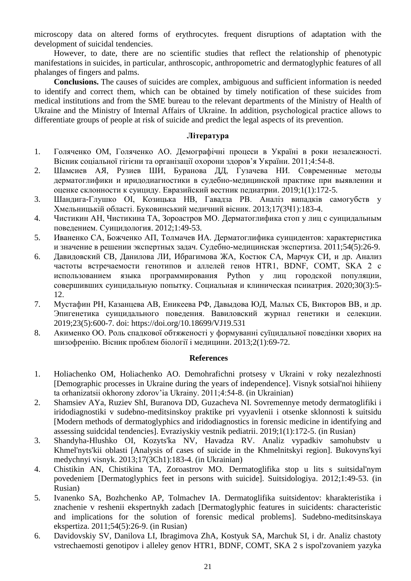microscopy data on altered forms of erythrocytes. frequent disruptions of adaptation with the development of suicidal tendencies.

However, to date, there are no scientific studies that reflect the relationship of phenotypic manifestations in suicides, in particular, anthroscopic, anthropometric and dermatoglyphic features of all phalanges of fingers and palms.

**Conclusions.** The causes of suicides are complex, ambiguous and sufficient information is needed to identify and correct them, which can be obtained by timely notification of these suicides from medical institutions and from the SME bureau to the relevant departments of the Ministry of Health of Ukraine and the Ministry of Internal Affairs of Ukraine. In addition, psychological practice allows to differentiate groups of people at risk of suicide and predict the legal aspects of its prevention.

### **Література**

- 1. Голяченко ОМ, Голяченко АО. Демографічні процеси в Україні в роки незалежності. Вісник соціальної гігієни та організації охорони здоров'я України. 2011;4:54-8.
- 2. Шамсиев АЯ, Рузиев ШИ, Буранова ДД, Гузачева НИ. Современные методы дерматоглифики и иридодиагностики в судебно-медицинской практике при выявлении и оценке склонности к суициду. Евразийский вестник педиатрии. 2019;1(1):172-5.
- 3. Шандига-Глушко ОІ, Козицька НВ, Гавадза РВ. Аналіз випадків самогубств у Хмельницькій області. Буковинський медичний вісник. 2013;17(3Ч1):183-4.
- 4. Чистикин АН, Чистикина ТА, Зороастров МО. Дерматоглифика стоп у лиц с суицидальным поведением. Суицидология. 2012;1:49-53.
- 5. Иваненко СА, Божченко АП, Толмачев ИА. Дерматоглифика суицидентов: характеристика и значение в решении экспертных задач. Судебно-медицинская экспертиза. 2011;54(5):26-9.
- 6. Давидовский СВ, Данилова ЛИ, Ибрагимова ЖА, Костюк СА, Марчук СИ, и др. Анализ частоты встречаемости генотипов и аллелей генов HTR1, BDNF, COMT, SKA 2 с использованием языка программирования Python у лиц городской популяции, совершивших суицидальную попытку. Социальная и клиническая псииатрия. 2020;30(3):5- 12.
- 7. Мустафин РН, Казанцева АВ, Еникеева РФ, Давыдова ЮД, Малых СБ, Викторов ВВ, и др. Эпигенетика суицидального поведения. Вавиловский журнал генетики и селекции. 2019;23(5):600-7. doi:<https://doi.org/10.18699/VJ19.531>
- 8. Акименко ОО. Роль спадкової обтяженості у формуванні суїцидальної поведінки хворих на шизофренію. Вісник проблем біології і медицини. 2013;2(1):69-72.

### **References**

- 1. Holiachenko OM, Holiachenko AO. Demohrafichni protsesy v Ukraini v roky nezalezhnosti [Demographic processes in Ukraine during the years of independence]. Visnyk sotsial'noi hihiieny ta orhanizatsii okhorony zdorov'ia Ukrainy. 2011;4:54-8. (in Ukrainian)
- 2. Shamsiev AYa, Ruziev ShI, Buranova DD, Guzacheva NI. Sovremennye metody dermatoglifiki i iridodiagnostiki v sudebno-meditsinskoy praktike pri vyyavlenii i otsenke sklonnosti k suitsidu [Modern methods of dermatoglyphics and iridodiagnostics in forensic medicine in identifying and assessing suidcidal tendencies]. Evraziyskiy vestnik pediatrii. 2019;1(1):172-5. (in Rusian)
- 3. Shandyha-Hlushko OI, Kozyts'ka NV, Havadza RV. Analiz vypadkiv samohubstv u Khmel'nyts'kii oblasti [Analysis of cases of suicide in the Khmelnitskyi region]. Bukovyns'kyi medychnyi visnyk. 2013;17(3Ch1):183-4. (in Ukrainian)
- 4. Chistikin AN, Chistikina TA, Zoroastrov MO. Dermatoglifika stop u lits s suitsidal'nym povedeniem [Dermatoglyphics feet in persons with suicide]. Suitsidologiya. 2012;1:49-53. (in Rusian)
- 5. Ivanenko SA, Bozhchenko AP, Tolmachev IA. Dermatoglifika suitsidentov: kharakteristika i znachenie v reshenii ekspertnykh zadach [Dermatoglyphic features in suicidents: characteristic and implications for the solution of forensic medical problems]. Sudebno-meditsinskaya ekspertiza. 2011;54(5):26-9. (in Rusian)
- 6. Davidovskiy SV, Danilova LI, Ibragimova ZhA, Kostyuk SA, Marchuk SI, i dr. Analiz chastoty vstrechaemosti genotipov i alleley genov HTR1, BDNF, COMT, SKA 2 s ispol'zovaniem yazyka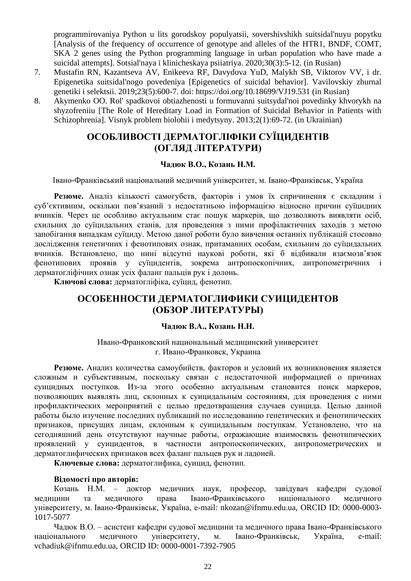programmirovaniya Python u lits gorodskoy populyatsii, sovershivshikh suitsidal'nuyu popytku [Analysis of the frequency of occurrence of genotype and alleles of the HTR1, BNDF, COMT, SKA 2 genes using the Python programming language in urban population who have made a suicidal attempts]. Sotsial'naya i klinicheskaya psiiatriya. 2020;30(3):5-12. (in Rusian)

- 7. Mustafin RN, Kazantseva AV, Enikeeva RF, Davydova YuD, Malykh SB, Viktorov VV, i dr. Epigenetika suitsidal'nogo povedeniya [Epigenetics of suicidal behavior]. Vavilovskiy zhurnal genetiki i selektsii. 2019;23(5):600-7. doi:<https://doi.org/10.18699/VJ19.531> (in Rusian)
- 8. Akymenko OO. Rol' spadkovoi obtiazhenosti u formuvanni suitsydal'noi povedinky khvorykh na shyzofreniiu [The Role of Hereditary Load in Formation of Suicidal Behavior in Patients with Schizophrenia]. Visnyk problem biolohii i medytsyny. 2013;2(1):69-72. (in Ukrainian)

# **ОСОБЛИВОСТІ ДЕРМАТОГЛІФІКИ СУЇЦИДЕНТІВ (ОГЛЯД ЛІТЕРАТУРИ)**

## **Чадюк В.О., Козань Н.М.**

Івано-Франківський національний медичний університет, м. Івано-Франківськ, Україна

**Резюме.** Аналіз кількості самогубств, факторів і умов їх спричинення є складним і суб'єктивним, оскільки пов'язаний з недостатньою інформацією відносно причин суїцидних вчинків. Через це особливо актуальним стає пошук маркерів, що дозволяють виявляти осіб, схильних до суїцидальних станів, для проведення з ними профілактичних заходів з метою запобігання випадкам суїциду. Метою даної роботи було вивчення останніх публікацій стосовно дослідження генетичних і фенотипових ознак, притаманних особам, схильним до суїцидальних вчинків. Встановлено, що нині відсутні наукові роботи, які б відбивали взаємозв'язок фенотипових проявів у суїцидентів, зокрема антропоскопічних, антропометричних і дерматогліфічних ознак усіх фаланг пальців рук і долонь.

**Ключові слова:** дерматогліфіка, суїцид, фенотип.

# **ОСОБЕННОСТИ ДЕРМАТОГЛИФИКИ СУИЦИДЕНТОВ (ОБЗОР ЛИТЕРАТУРЫ)**

## **Чадюк В.А., Козань Н.Н.**

Ивано-Франковский национальный медицинский университет г. Ивано-Франковск, Украина

**Резюме.** Анализ количества самоубийств, факторов и условий их возникновения является сложным и субъективным, поскольку связан с недостаточной информацией о причинах суицидных поступков. Из-за этого особенно актуальным становится поиск маркеров, позволяющих выявлять лиц, склонных к суицидальным состояниям, для проведения с ними профилактических мероприятий с целью предотвращения случаев суицида. Целью данной работы было изучение последних публикаций по исследованию генетических и фенотипических признаков, присущих лицам, склонным к суицидальным поступкам. Установлено, что на сегодняшний день отсутствуют научные работы, отражающие взаимосвязь фенотипических проявлений у суицидентов, в частности антропоскопических, антропометрических и дерматоглифических признаков всех фаланг пальцев рук и ладоней.

**Ключевые слова:** дерматоглифика, суицид, фенотип.

## **Відомості про авторів:**

Козань Н.М. – доктор медичних наук, професор, завідувач кафедри судової медицини та медичного права Івано-Франківського національного медичного університету, м. Івано-Франківськ, Україна, e-mail: [nkozan@ifnmu.edu.ua,](mailto:nkozan@ifnmu.edu.ua) ORCID ID: 0000-0003- 1017-5077

Чадюк В.О. – асистент кафедри судової медицини та медичного права Івано-Франківського національного медичного університету, м. Івано-Франківськ, Україна, e-mail: [vchadiuk@ifnmu.edu.ua,](mailto:vchadiuk@ifnmu.edu.ua) ORCID ID: 0000-0001-7392-7905